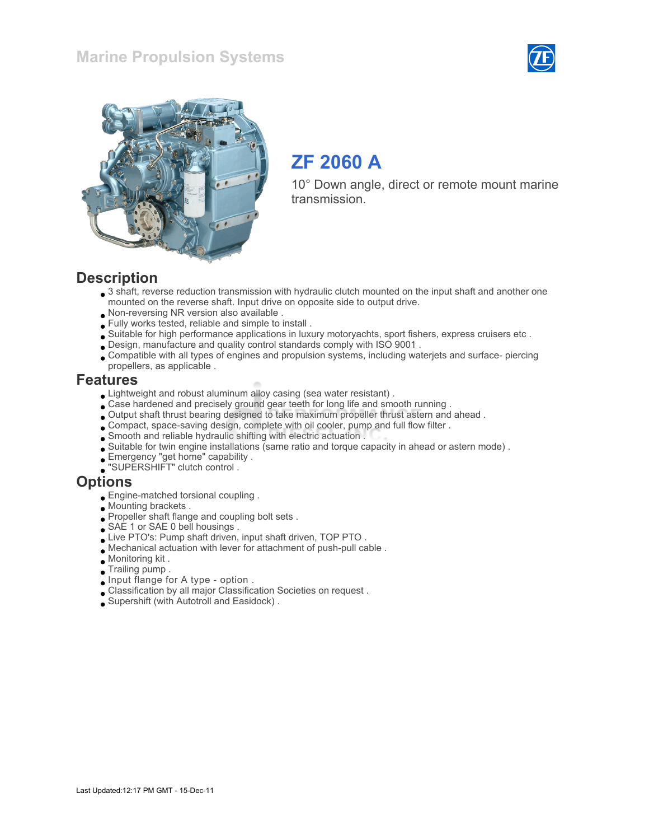



# ZF 2060 A

10° Down angle, direct or remote mount marine transmission.

#### **Description**

- $\bullet$  3 shaft, reverse reduction transmission with hydraulic clutch mounted on the input shaft and another one mounted on the reverse shaft. Input drive on opposite side to output drive.
- Non-reversing NR version also available .
- Fully works tested, reliable and simple to install .
- Suitable for high performance applications in luxury motoryachts, sport fishers, express cruisers etc .
- Design, manufacture and quality control standards comply with ISO 9001 .
- Compatible with all types of engines and propulsion systems, including waterjets and surface- piercing propellers, as applicable .

#### Features

- Lightweight and robust aluminum alloy casing (sea water resistant) .
- Case hardened and precisely ground gear teeth for long life and smooth running .
- Output shaft thrust bearing designed to take maximum propeller thrust astern and ahead .
- Compact, space-saving design, complete with oil cooler, pump and full flow filter .
- Smooth and reliable hydraulic shifting with electric actuation .
- Suitable for twin engine installations (same ratio and torque capacity in ahead or astern mode) .
- Emergency "get home" capability .
- "SUPERSHIFT" clutch control .

#### **Options**

- Engine-matched torsional coupling .
- Mounting brackets .
- Propeller shaft flange and coupling bolt sets.
- SAE 1 or SAE 0 bell housings .
- Live PTO's: Pump shaft driven, input shaft driven, TOP PTO.
- Mechanical actuation with lever for attachment of push-pull cable .
- Monitoring kit .
- Trailing pump .
- Input flange for A type option .
- Classification by all major Classification Societies on request .
- Supershift (with Autotroll and Easidock) .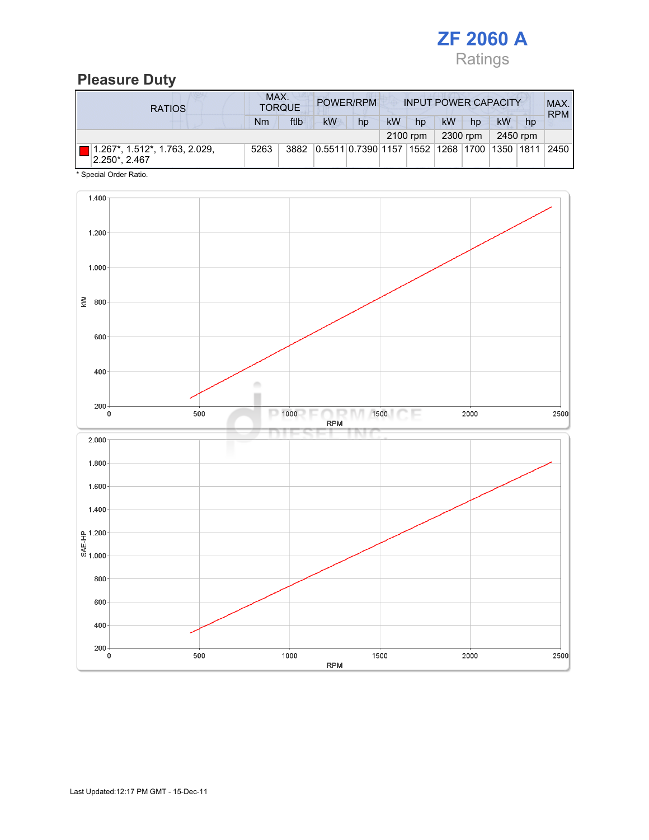

# Pleasure Duty

| <b>RATIOS</b>                                  | MAX.<br>POWER/RPM<br><b>INPUT POWER CAPACITY</b><br><b>TORQUE</b> |      |                    |    |    |          |                              |          |    | MAX.<br><b>RPM</b> |      |
|------------------------------------------------|-------------------------------------------------------------------|------|--------------------|----|----|----------|------------------------------|----------|----|--------------------|------|
|                                                | Nm                                                                | ftlb | <b>kW</b>          | hp | kW | hp       | kW                           | hp       | kW | hp                 |      |
|                                                |                                                                   |      |                    |    |    | 2100 rpm |                              | 2300 rpm |    | 2450 rpm           |      |
| 1.267*, 1.512*, 1.763, 2.029,<br>2.250*, 2.467 | 5263                                                              | 3882 | 0.5511 0.7390 1157 |    |    |          | 1552  1268  1700  1350  1811 |          |    |                    | 2450 |

\* Special Order Ratio.

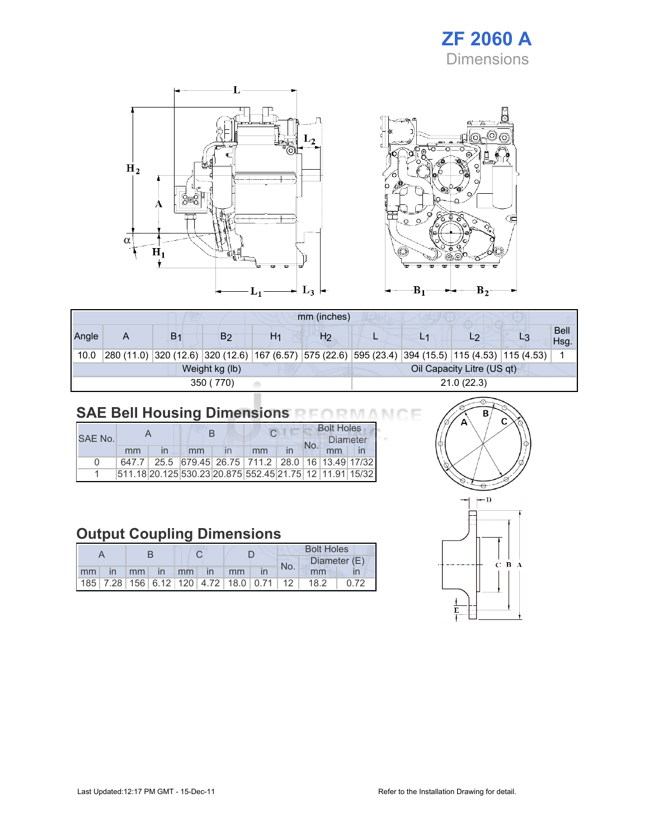# ZF 2060 A Dimensions



|       |   |                |                |    | mm (inches)    |  |                                                                                                            |                     |
|-------|---|----------------|----------------|----|----------------|--|------------------------------------------------------------------------------------------------------------|---------------------|
| Angle | Α | B <sub>1</sub> | B2             | H1 | H <sub>2</sub> |  | L9                                                                                                         | <b>Bell</b><br>Hsg. |
| 10.0  |   |                |                |    |                |  | 280 (11.0)  320 (12.6)  320 (12.6)  167 (6.57)  575 (22.6)  595 (23.4)  394 (15.5)  115 (4.53)  115 (4.53) |                     |
|       |   |                | Weight kg (lb) |    |                |  | Oil Capacity Litre (US qt)                                                                                 |                     |
|       |   |                | 350 (770)      |    | 21.0(22.3)     |  |                                                                                                            |                     |

# SAE Bell Housing Dimensions RFORMANCE

| SAF No.      |       |  |    |  |                                                                 |  | <b>Bolt Holes</b> |  |  |  |
|--------------|-------|--|----|--|-----------------------------------------------------------------|--|-------------------|--|--|--|
|              |       |  |    |  |                                                                 |  | Diameter          |  |  |  |
|              | mm    |  | mm |  | mm                                                              |  |                   |  |  |  |
| <sup>n</sup> | 647.7 |  |    |  | 25.5 679.45 26.75 711.2 28.0 16 13.49 17/32                     |  |                   |  |  |  |
|              |       |  |    |  | 511.18 20.125 530.23 20.875  552.45  21.75   12   11.91   15/32 |  |                   |  |  |  |

# Output Coupling Dimensions

|  |                      |  |  |  |                                                         | <b>Bolt Holes</b> |     |              |      |  |
|--|----------------------|--|--|--|---------------------------------------------------------|-------------------|-----|--------------|------|--|
|  |                      |  |  |  |                                                         |                   | No. | Diameter (E) |      |  |
|  | mm in mm in mm in mm |  |  |  |                                                         |                   |     | mm           |      |  |
|  |                      |  |  |  | 185   7.28   156   6.12   120   4.72   18.0   0.71   12 |                   |     | 18.2         | 0.72 |  |